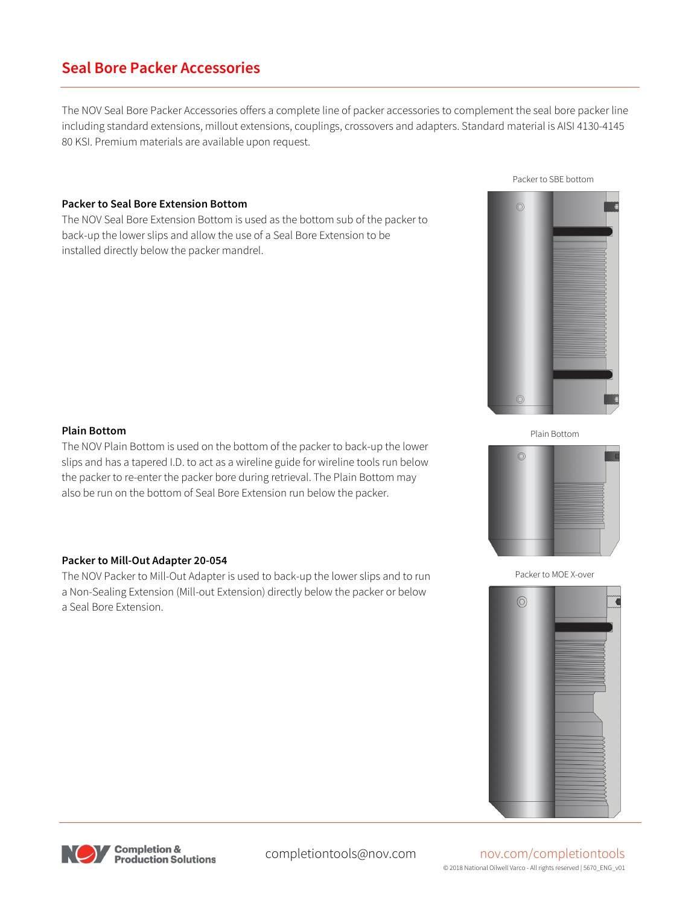# **Seal Bore Packer Accessories**

The NOV Seal Bore Packer Accessories offers a complete line of packer accessories to complement the seal bore packer line including standard extensions, millout extensions, couplings, crossovers and adapters. Standard material is AISI 4130-4145 80 KSI. Premium materials are available upon request.

### **Packer to Seal Bore Extension Bottom**

The NOV Seal Bore Extension Bottom is used as the bottom sub of the packer to back-up the lower slips and allow the use of a Seal Bore Extension to be installed directly below the packer mandrel.





### **Plain Bottom**

The NOV Plain Bottom is used on the bottom of the packer to back-up the lower slips and has a tapered I.D. to act as a wireline guide for wireline tools run below the packer to re-enter the packer bore during retrieval. The Plain Bottom may also be run on the bottom of Seal Bore Extension run below the packer.

### **Packer to Mill-Out Adapter 20-054**

The NOV Packer to Mill-Out Adapter is used to back-up the lower slips and to run a Non-Sealing Extension (Mill-out Extension) directly below the packer or below a Seal Bore Extension.









# completiontools@nov.com nov.com/completiontools

© 2018 National Oilwell Varco - All rights reserved | 5670\_ENG\_v01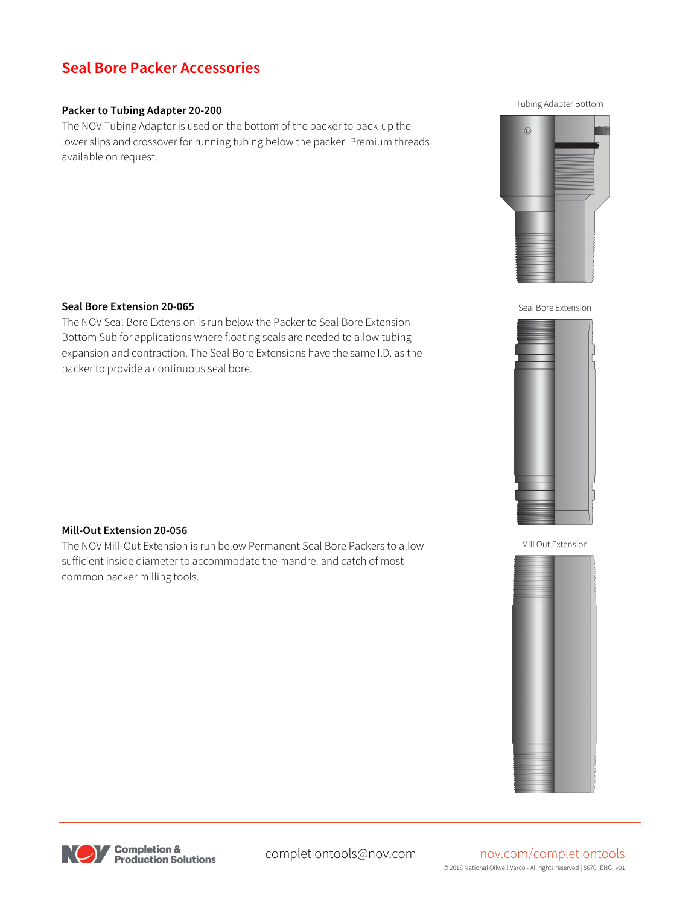# **Seal Bore Packer Accessories**

### **Packer to Tubing Adapter 20-200**

The NOV Tubing Adapter is used on the bottom of the packer to back-up the lower slips and crossover for running tubing below the packer. Premium threads available on request.





Seal Bore Extension



# Mill Out Extension

### **Seal Bore Extension 20-065**

The NOV Seal Bore Extension is run below the Packer to Seal Bore Extension Bottom Sub for applications where floating seals are needed to allow tubing expansion and contraction. The Seal Bore Extensions have the same I.D. as the packer to provide a continuous seal bore.

### **Mill-Out Extension 20-056**

The NOV Mill-Out Extension is run below Permanent Seal Bore Packers to allow sufficient inside diameter to accommodate the mandrel and catch of most common packer milling tools.



# completiontools@nov.com nov.com/completiontools

© 2018 National Oilwell Varco - All rights reserved | 5670\_ENG\_v01